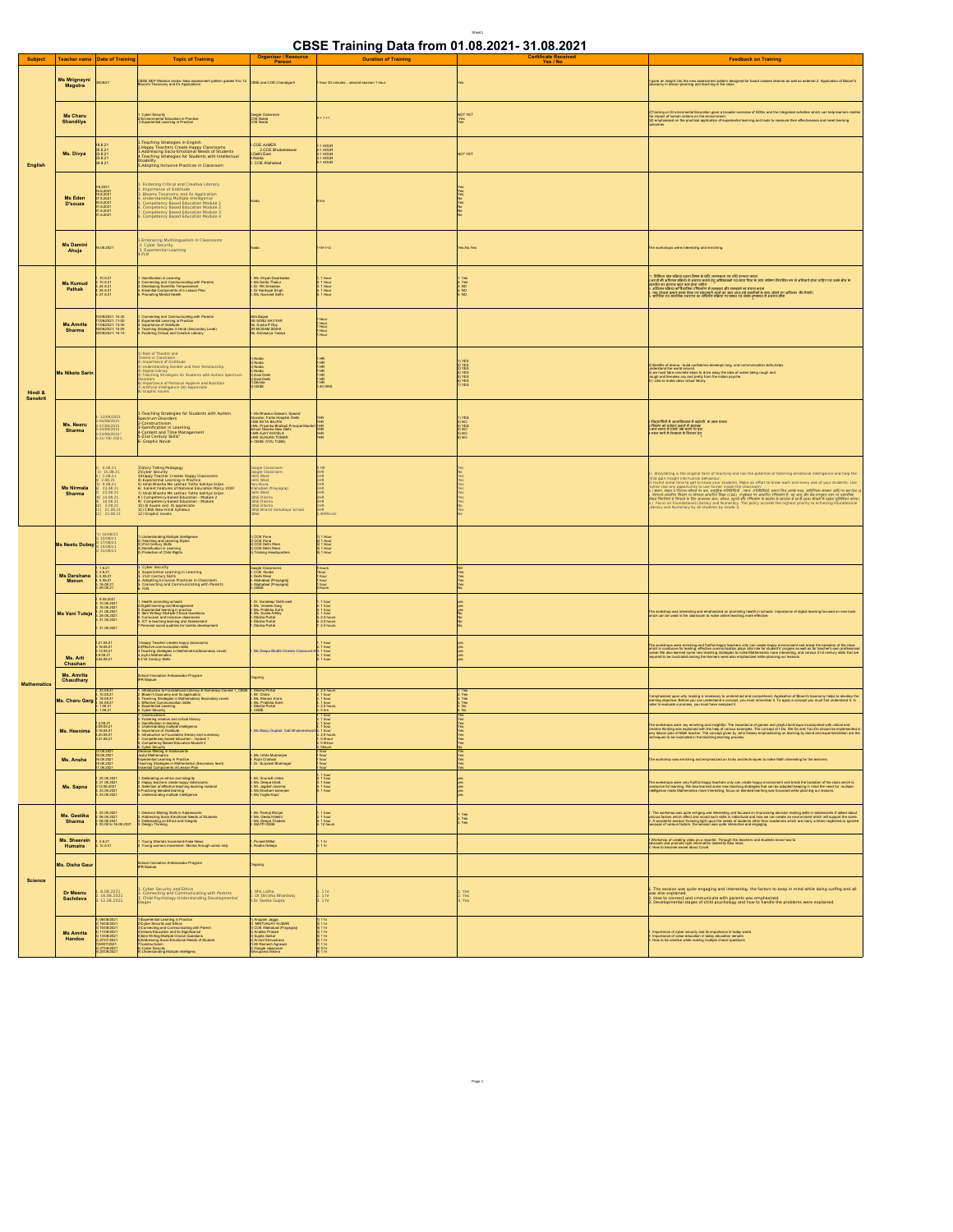## **CBSE Training Data from 01.08.2021- 31.08.2021**

Sheet1

|                     |                                |                                                                                                                                                                      |                                                                                                                                                                                                                                                                                                                      | Organiser / Resource                                                                                                                                                                                                                          |                                                                                | .<br><b>Certificate Received</b>                                   |                                                                                                                                                                                                                                                                                                                                                                |
|---------------------|--------------------------------|----------------------------------------------------------------------------------------------------------------------------------------------------------------------|----------------------------------------------------------------------------------------------------------------------------------------------------------------------------------------------------------------------------------------------------------------------------------------------------------------------|-----------------------------------------------------------------------------------------------------------------------------------------------------------------------------------------------------------------------------------------------|--------------------------------------------------------------------------------|--------------------------------------------------------------------|----------------------------------------------------------------------------------------------------------------------------------------------------------------------------------------------------------------------------------------------------------------------------------------------------------------------------------------------------------------|
| <b>Subject</b>      |                                | Teacher name Date of Training                                                                                                                                        | <b>Topic of Training</b>                                                                                                                                                                                                                                                                                             | Person                                                                                                                                                                                                                                        | <b>Duration of Training</b>                                                    | Yes / No                                                           | <b>Feedback on Training</b>                                                                                                                                                                                                                                                                                                                                    |
| English             | <b>Ms Mrignayni</b><br>Magotra | 308/21                                                                                                                                                               | 3SE NEP Webinar series- New assessment pattern grades 9 to 12 CBSE and COE Chandigarh                                                                                                                                                                                                                                |                                                                                                                                                                                                                                               | hour 30 minutes second session 1 hour                                          |                                                                    | It gave an insight into the new assessment pattern designed for board classes internal as well as external 2. Application of Bloom"s<br>Isocnomy in lesson planning and teaching in the class                                                                                                                                                                  |
|                     | Ms Charu<br>Shandilya          |                                                                                                                                                                      | . Cyber Security<br>I. Environmental Education in Practice<br>3. Experiential Learning in Practice                                                                                                                                                                                                                   | Google Classroom<br>COE Noida<br>COE Noida                                                                                                                                                                                                    | $+1+1$                                                                         | NOT YET<br>Yes<br>Yes                                              | 2)Training on Environmental Education gave a broader overview of SDGs and the integrated activities which can help learners realis<br>the impact of furnan exitors on the environment<br>Dys emphasised on the practical application                                                                                                                           |
|                     | Ms. Divya                      | 8.8.21<br>0.8.21<br>3821<br>3821<br>4821                                                                                                                             | Teaching Strategies in English<br>Happy Teachers Create Happy Classrooms<br>Addressing Socio-Emotional Needs of Students<br>Teaching Strategies for Students with Intellectual<br>isability<br>Adopting Inclusive Practices in Classroom                                                                             | LCOE AJMER<br>2.COE Bhubaneswar<br>3 Delhi East<br>.Noida<br>. COE Allahabad                                                                                                                                                                  | 1 HOUR<br>1 HOUR<br>1 HOUR<br>1 HOUR                                           | NOT YET                                                            |                                                                                                                                                                                                                                                                                                                                                                |
|                     | Ms Eden<br>D'souza             | 3.2021<br>$\begin{array}{l} 6.2021 \\ 6.62021 \\ 9.82021 \\ 7.82021 \\ 1.82021 \\ 1.82021 \\ 1.82021 \end{array}$                                                    | Fostering Critical and Creative Literacy<br>Importance of Gratitude<br>Biooms Taxonomy and its Application<br>Understanding Multiple Intelligence<br>Competency Based Education Module 1<br>Competency Based Education Module 2<br>Competency Based Education Module 3<br>Competency Based Education Module 4        |                                                                                                                                                                                                                                               |                                                                                | 888922                                                             |                                                                                                                                                                                                                                                                                                                                                                |
|                     | <b>Ms Damini</b><br>Ahuja      | 6.08.2021                                                                                                                                                            | Embracing Multilingualism in Classrooms<br>2. Cyber Security<br>3. Experiential Learning<br>.FLN                                                                                                                                                                                                                     | voida                                                                                                                                                                                                                                         | $+5 + 1 + 2$                                                                   | Yes, No, Yes                                                       | The workshops were interesting and enriching                                                                                                                                                                                                                                                                                                                   |
| Hindi &<br>Sanskrit | <b>Ms Kumud</b><br>Pathak      | 0.8.21<br>$-10.8.21$<br>$-24.8.21$<br>$-25.8.21$<br>$-27.8.21$                                                                                                       | Gamification in Learning<br>Connecting and Communicating with Parents<br>Developing Scientific Temperament<br>Essential Components of a Lesson Plan<br>Promoting Mental Health                                                                                                                                       | 1. Ms. Khyati Dwarkadas<br>2. Ms Sarita Thakur<br>3. Dr. RK Srivastav<br>4. Dr Hardayal Singh<br>5. Ms. Navrieet Sefri                                                                                                                        | 1 Hour<br>1 Hour<br>1 Hour<br>1 Hour                                           | 1. Yes<br>2. Yes<br>3. NO<br>4. NO<br>5. NO                        | । निकित्स खेल प्रतिक्रम दशार निषय के प्रति उपाधानुदा एवं स्त्री उपाधा बदला कर करेगा। नियमित रूप से अभिवर्ष होन<br>सल्दील मा अंतरात बहुत का होना सहियों को अभिवादम्य पर मंदरा परिवार के साथ करेगा। नियमित रूप से अभिवर्ष होना पाई                                                                                                                               |
|                     | Ms.Amrita<br>Sharma            | 08/2021: 14:30<br>08/2021: 11:00<br>08/2021: 13:30<br>08/2021: 14:00<br>08/2021: 15:15                                                                               | Connecting and Communicating with Parents<br>Experiential Learning in Practice<br>mportance of Cratitude<br>l'eaching Strategies in Hindi (Secondary Level)<br>Fostering Critical and Creative Literacy                                                                                                              | Ekta Bajpai<br>MS SONU NAYYAR<br>Ms. Susha P Roy<br>DR MOSAM SINHA<br>Ms. Aishwarya Taneja                                                                                                                                                    | 1 Hour<br>1 Hour<br>1 Hour<br>1 Hour                                           |                                                                    |                                                                                                                                                                                                                                                                                                                                                                |
|                     | Ms Niketa Sarir                |                                                                                                                                                                      | Role of Theatre and<br>ima in Classroom<br>mportance of Gratitude<br>Inderstanding Gender and their Relationship<br>Digital Library<br>Feaching Strategies for Students with Autism Spectrum<br>iorders<br>Importance of Personal Hygiene and Nutrition<br>Artificial Intelligence (AI) Appreciate<br>Graphic novels | l ) Noida<br>l) Noida<br>l) Noida<br>4) Noida<br>5) East Delhi<br>5) East Delhi<br>7) Dicsha<br>8) CBSE                                                                                                                                       | $\frac{1}{8}$                                                                  | 1) YES<br>2) YES<br>3) YES<br>3) YES<br>5) YES<br>5) YES<br>3) YES | Benifits of drama - build confidence, develops lang, and communication skills, helps<br>derstand the world around.<br>prodestiand the world around.<br>3) we must take concrete steps to drive away the idea of males being rough and<br>Tough and females coy and pretty from the indian psyche.<br>4) I Like to make class virtual library.                  |
|                     | Ms. Neeru<br>Sharma            | 12/08/2021<br>:6/08/2021<br>:7/08/2021<br>:4/08/2021<br>23/08/2021"<br>21/ 08/ 2021                                                                                  | -Teaching Strategies for Students with Autism<br>Pectrum Disorders<br>Constructivism<br>Gamification in Learning<br><b>Content and Time Management</b><br>21st Century Skills*<br>Graphic Novel                                                                                                                      | 1- Ms Bhavika Gidwani, Special<br>Educator, Fortis Hospital, Delhi<br>2-MS EKTA BAJPAI<br>3-Ms. Priyanka Bhatkoti Principal M<br>tool Dwarka New Delh<br>School Dawke New York<br>4-MR AJAY KHOSLA<br>5-MS GUNJAN TOMAP<br>6- CBSE (YOU TUBE) | HR<br>HR<br>HR<br>HR                                                           | 1) YES<br>2) NO<br>3) YES<br>4) NO<br>5) NO<br>6) NO               | 1-डिट्सामिकों में आदमजिकाला में बढोलरी के उतम प्रयास<br>2-सिटेला को मध्यपुर बनातों में सहायक<br>3-सम समय में रमार्ट तर्क सदते पर बल<br>4-पठत बरने में रोचकला के विस्तार हेतु                                                                                                                                                                                   |
|                     | <b>Ms Nirmala</b><br>Sharma    | $6.08.21$<br>15.08.21<br>2.08.21<br>2.08.21<br>9.08.21<br>23.08.21<br>23.08.21<br>) 14.08.21<br>  14.08.21<br>  14.08.21<br> ) 3.08.21<br> ) 21.08.21<br> ) 23.08.21 |                                                                                                                                                                                                                                                                                                                      | Google Classroom<br>Google Classroom<br>Delhi West<br>Delhi West<br>Panchkula<br>Allahabad (Prayagraj)<br>Delhi West<br>CBSE Diksha<br>CBSE Diksha<br>CBSE Diksha<br>CBSE Bharat Sahodaya School<br>CBSE Bharat Sahodaya School               | 5 HR<br>5 HR<br>1 HR<br>1 HR<br>1 HR<br>1 HR<br>40Minuts                       |                                                                    | Storytelling is the original form of teaching and has the potential of fostering emotional intelligence and help the<br>, Discreptions, the sequel better and such a set with the species of fractions are<br>interesting and the sequel burst your sculpture. Nata as affects to love act, and every one of your students. Use<br>I loved start clearly giv   |
| <b>Mathematics</b>  | <b>Ms Neetu Dubey</b>          | 10/08/21<br>10/08/21<br>17/08/21<br>25/08/21<br>31/08/21                                                                                                             | Understanding Multiple Intelligence<br>Teaching and Learning Styles<br>21st Century Skills<br>Clamification in Learning<br>Protection of Child Rights                                                                                                                                                                | 1) COE Pune<br>2) COE Pune<br>3) COE Delhi West<br>4) COE Delhi West<br>5) Training Headquarters                                                                                                                                              | 1 Hour<br>1 Hour<br>1 Hour<br>1 Hour                                           |                                                                    |                                                                                                                                                                                                                                                                                                                                                                |
|                     | Ms Darshana<br>Menon           | $\begin{array}{r} 1.821 \\ 2.821 \\ 5.0821 \\ 5.0821 \\ 16.0821 \\ 16.0821 \\ 09.0821 \end{array}$                                                                   | : Cyber Security<br>: Experiential Learning in Learning<br>: 21st Century Skills<br>: Adopting Inclusive Practices in Classroom<br>: Connecting and Communicating with Parents<br>: FLN                                                                                                                              | Google Classrooms<br>2. COE -Noida<br>Defti West<br>Allahabad (Prayagraj)<br>Allahabad (Prayagraj)<br>CBSE                                                                                                                                    | 5 hours<br>Thour<br>1 hour<br>1 hour<br>1 hours                                | 22.23                                                              |                                                                                                                                                                                                                                                                                                                                                                |
|                     | Ms Vani Tuteja                 | 9.08.2021<br>10.08.2021<br>18.08.2021<br>21.08.2021<br>29.08.2021<br>31.08.2021<br>31.08.2021                                                                        | Health promoting schools<br>Digital kareing and Management<br>Experiential karming in practice<br>Experiential karming in practice<br>Corriculum and Indiusive classrooms<br>Circinial social quatrics for holistic development<br>Personal soci                                                                     | 1. Dr. Sandsep/ Delhi east<br>2. Ms. Vinesta Garg<br>3. Ms. Pratikha Kohi<br>4. Ms. Sunita Athley<br>6. Diksha Portal<br>8. Diksha Portal<br>Désha Portal                                                                                     | . 1 hour<br>L 1 hour<br>L 1 hour<br>L 2.5 hours<br>L 2.5 hours<br>L 2.5 hours  | 11222                                                              | The workshop was interesting and emphasized on promoting health in schools. Importance of digital learning focused on new tools<br>which can be used in the classroom to make online teaching more effective.                                                                                                                                                  |
|                     | Ms. Arti<br>Chauhan            | 21.08.21<br>16.08.21<br>13.08.21<br>0.08.21<br>04.08.21                                                                                                              | Happy Teacher creates happy classroo<br>Effective communication skills<br>L'exching strategica est anno<br>Teaching strategies in Mathematics(Secondary Level)<br>21st Century Skills                                                                                                                                | Ms Deepa Bhatt2.Charles Clarance3.R                                                                                                                                                                                                           | hour<br>hour<br>1 hour<br>1 hour<br>1 hour                                     | <b>22222</b>                                                       | The workshop ware entrining and fulfil Happy bachers only can creak happy emitorment and break the boxedom of the class<br>Wrich is conducted for learing, effective communication plays visit risk for sholently progres as well                                                                                                                              |
|                     | Ms. Amrita<br>Chaudhary        |                                                                                                                                                                      | chool Innovation Ambassador Program<br><sup>1</sup> R Module                                                                                                                                                                                                                                                         | gricgn                                                                                                                                                                                                                                        |                                                                                |                                                                    |                                                                                                                                                                                                                                                                                                                                                                |
|                     | Ms. Charu Gare                 | 23.08.21<br>10.08.21<br>18.08.21<br>04.08.21<br>$08.21$<br>$08.21$                                                                                                   | rtroduction to Foundational Literacy & Numeracy-Course 1 <u>, CB</u><br>Bloom's laxenormy and its application<br>Feaching <i>Strategies in Mathemat</i> ics( Secondary Level)<br>Effective Communication Skills<br>Experiential Learning<br>Cyber Security<br>Construction                                           | 1. Diksha Portal<br>2. Mr. Chitra<br>3. Ms. Manavi Arora<br>4. Ms. Pratibha Kohli<br>5. Diksha Portal<br>8. CBSE                                                                                                                              | 1.2.5 hour<br>1.1 hour<br>1.1 hour<br>1.1 hour<br>2.5 hours<br>5 hrs<br>1 hour | Yes<br>Yes<br>Yes                                                  | emphasised upon why reading is necessary to understnad and comprehend. Application of Bloom's taxonomy helps to develop the<br>aming objective. Below you can understand a concept, you must remember it. To apply a concept you                                                                                                                               |
|                     | Ms. Heenima                    | 1.2.08.21<br>2.09.08.21<br>3.16.08.21<br>0.08.21<br>1.08.21                                                                                                          | Continuoment<br>Fostering vestive and critical literacy<br>Canteriostics in learning<br>Understanding multiple intelligence<br>Introduction to Foundation literacy and numeracy<br>Competency Beaud Education - module 1<br>Competency Beaud Edu                                                                     | Ms Manju Gupta2. CoE Bhubneshwa                                                                                                                                                                                                               | hou<br>0.5hour<br>0.5Hour                                                      | <b>人名加尔尼 经销售</b>                                                   | The workshops were vay entring and imageML. The importance of games and plank kontinue incorporate with otherat<br>creative threshy was explained with the help of various examples. The concept of I-Do, We Do and You-Do alread                                                                                                                              |
|                     | Ms. Ansha                      | 0 08:2021<br>3 08:2021<br>3 08:2021<br>08.2021                                                                                                                       | ecescri maxing in wocooscens<br>syleMaterial Learning in Practice<br>eaching Strategies in Mathematics (Secondary level)<br>ssential Components of Lesson Plan                                                                                                                                                       | a<br>2. Ms. lahita Mukherjee<br>3. Rajni Chatwal<br>4. Dr. Gurpreet Bhatnagar                                                                                                                                                                 | 1 hour<br>1 hour<br>1 hour<br>hour                                             |                                                                    | e workshop was enriching and emphasized on tricks and techniques to make Math interesting for the learners                                                                                                                                                                                                                                                     |
|                     | Ms. Sapna                      | 20.08.2021<br>21.08.2021<br>12.08.2021<br>23.08.2021<br>23.08.2021                                                                                                   | Delibrating on ethics and integrity<br>Happy teachers create happy classrooms.<br>Selection of effective teaching learning material<br>hactiong blended learning<br>Understanding multiple intelligence                                                                                                              | 1. Mr. Anurodh chitia<br>2. Ms. Deepa bhatt.<br>3. Mr. Jagdish sharma<br>4. Ms Sharbani banarjee<br>5. Ms Yogita Kapil                                                                                                                        | . 1 hour<br>1 1 hour<br>1 1 hour<br>1 hour                                     | <u>2222</u>                                                        | he workshops were very fruitiul Happy teachers only can create happy environment and break the bonedom of the class which is<br>Inducive for keaming. We also keamed some new teaching strategies that cea bos dosped keaping in                                                                                                                               |
| <b>Science</b>      | Ms. Geetika<br><b>Sharma</b>   | 03.08.2021<br>06.08.2021<br>06.08.2021<br>03.08 to 16.08.2021                                                                                                        | Decision Making Skills in Adolescents<br>Addressing Socio-Ernofonal Needs of Students<br>Deliberating on Efrics and Integrity<br>Design Thinking                                                                                                                                                                     | 1. Mr. Pankaj Munjal<br>2. Ms. Geeta Hiteshi<br>3. Ms. Deepa Thadani<br>4. SIATP-CBSE                                                                                                                                                         | 1. 1 hour<br>2. 1 hour<br>3. 1 hour<br>4. 12 hours                             | . Yes<br>: Yes<br>: Yes                                            | 1. The worldnop was quite enterpro and intensity and focused on improvising desision meking alls in estelsomen<br>perious factors ellich alled and mould auch selles in individuals and how we can creak an environment which wa<br>                                                                                                                           |
|                     | Ms. Sheerein<br>Humaira        | 5.8.21<br>12.8.21                                                                                                                                                    | Young Warriots movement-Fake News<br>Young warriors movement-Stories through comic strip                                                                                                                                                                                                                             | .<br>Puneet Mittal<br>. Radha Raheja                                                                                                                                                                                                          | $\frac{1}{1}$ hr                                                               |                                                                    | l. Workshop of creating video as a reporter. Through this teachers and students know how to<br>idvocate and promote right information toidentify fake news<br>I: How to become aware about Covid                                                                                                                                                               |
|                     | Ms. Disha Gau                  |                                                                                                                                                                      | <b>School Innovation Ambassador Program</b><br>PR Module                                                                                                                                                                                                                                                             | griogri                                                                                                                                                                                                                                       |                                                                                |                                                                    |                                                                                                                                                                                                                                                                                                                                                                |
|                     | Dr Meenu<br>Sachdeva           | 6.08.2021<br>16.08.2021<br>12.08.2021                                                                                                                                | .<br>Connecting and Communicating with Parents<br>. Child Psychology-Understanding Developmental<br>ages                                                                                                                                                                                                             | 1. Mrs Latha<br>2. Dr Dinisha Bhardwaj<br>3.Dr Sweta Gupta                                                                                                                                                                                    | $\begin{array}{c} 1 \text{ hr} \\ 1 \text{ hr} \\ 1 \text{ hr} \end{array}$    | . Yes<br>. Yes<br>. Yes                                            | 1. The session was quite engaging and interesting, the factors to keep in mind while doing surfing and all<br>was also explained.<br>us was explained and cmmunicate with parents was emphasized.<br>. How to connect and cmmunicate with parents was emphasized.<br>. Developmental stages of child psychology and how to handle the problems were explained. |
|                     | Ms Amrita<br>Handoo            | 06/08/2021<br>0082021<br>0082021<br>0082021<br>0072021<br>00772021<br>00772021                                                                                       | 1 (Experiential Learning in Practice<br>20 Oktober 2021 (Van Elhica<br>3) Connecting and Communicating with Panent<br>4) Values Education and its Significance<br>5) New Writing Socio-Ernotional Needs of Student<br>8) Addressing Socio-Ern<br><b>Joar Security</b><br>Inderstanding Multiple Intelligenc          | 1) Anupam Jagga<br>2) MRITUNJAY KUMAR<br>3) COE Alahabad (Prayagraj)<br>4) Antoka Prasad<br>5) Sujata Sakse<br>2) Mrita Shivuatava<br>2) Anvind Shivuatava<br>2) Anvind Shivuatava<br>2) Anopae classroom                                     | $)$ 1 hr<br>2) 1 hr<br>3) 1 hr<br>5) 1 hr hr hr<br>5) 1 hr hr hr<br>5) 5 hr hr |                                                                    | Importance of cyber security and its importance in today world.<br>Importance of value education in today education senario<br>How to be creative while making multiple choice questions                                                                                                                                                                       |